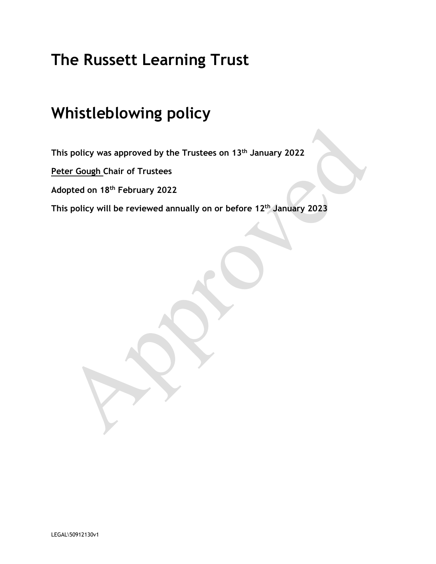# **The Russett Learning Trust**

# **Whistleblowing policy**

**This policy was approved by the Trustees on 13th January 2022**

**Peter Gough Chair of Trustees**

**Adopted on 18th February 2022**

**This policy will be reviewed annually on or before 12th January 2023**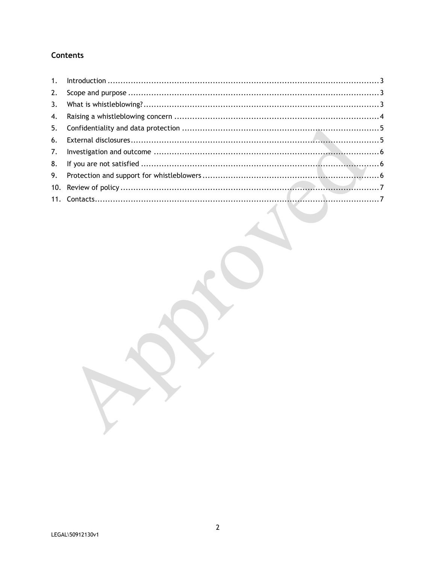## **Contents**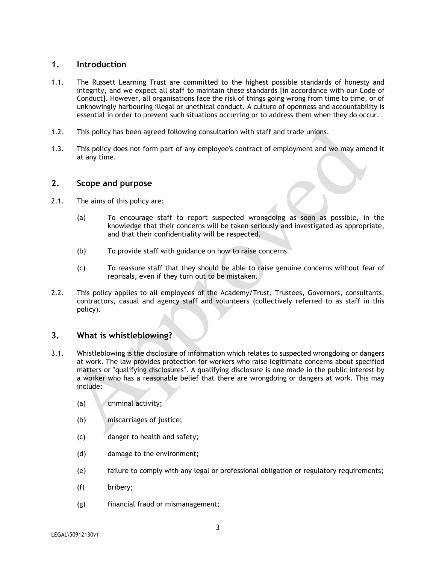## **1. Introduction**

- 1.1. The Russett Learning Trust are committed to the highest possible standards of honesty and integrity, and we expect all staff to maintain these standards [in accordance with our Code of Conduct]. However, all organisations face the risk of things going wrong from time to time, or of unknowingly harbouring illegal or unethical conduct. A culture of openness and accountability is essential in order to prevent such situations occurring or to address them when they do occur.
- 1.2. This policy has been agreed following consultation with staff and trade unions.
- 1.3. This policy does not form part of any employee's contract of employment and we may amend it at any time.

#### **2. Scope and purpose**

- 2.1. The aims of this policy are:
	- (a) To encourage staff to report suspected wrongdoing as soon as possible, in the knowledge that their concerns will be taken seriously and investigated as appropriate, and that their confidentiality will be respected.
	- (b) To provide staff with guidance on how to raise concerns.
	- (c) To reassure staff that they should be able to raise genuine concerns without fear of reprisals, even if they turn out to be mistaken.
- 2.2. This policy applies to all employees of the Academy/Trust, Trustees, Governors, consultants, contractors, casual and agency staff and volunteers (collectively referred to as staff in this policy).

## **3. What is whistleblowing?**

- 3.1. Whistleblowing is the disclosure of information which relates to suspected wrongdoing or dangers at work. The law provides protection for workers who raise legitimate concerns about specified matters or "qualifying disclosures". A qualifying disclosure is one made in the public interest by a worker who has a reasonable belief that there are wrongdoing or dangers at work. This may include:
	- (a) criminal activity;
	- (b) miscarriages of justice;
	- (c) danger to health and safety;
	- (d) damage to the environment;
	- (e) failure to comply with any legal or professional obligation or regulatory requirements;
	- (f) bribery;
	- (g) financial fraud or mismanagement;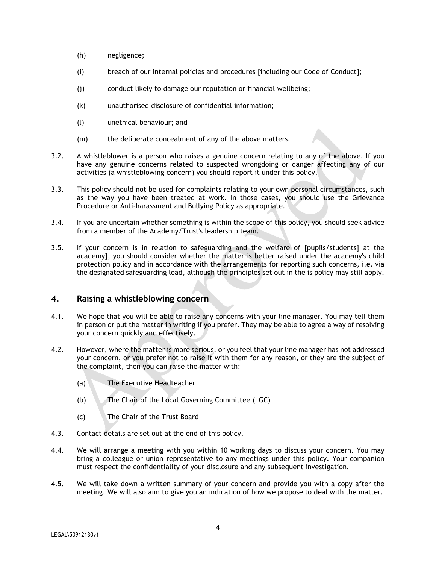- (h) negligence;
- (i) breach of our internal policies and procedures [including our Code of Conduct];
- (j) conduct likely to damage our reputation or financial wellbeing;
- (k) unauthorised disclosure of confidential information;
- (l) unethical behaviour; and
- (m) the deliberate concealment of any of the above matters.
- 3.2. A whistleblower is a person who raises a genuine concern relating to any of the above. If you have any genuine concerns related to suspected wrongdoing or danger affecting any of our activities (a whistleblowing concern) you should report it under this policy.
- 3.3. This policy should not be used for complaints relating to your own personal circumstances, such as the way you have been treated at work. In those cases, you should use the Grievance Procedure or Anti-harassment and Bullying Policy as appropriate.
- 3.4. If you are uncertain whether something is within the scope of this policy, you should seek advice from a member of the Academy/Trust's leadership team.
- 3.5. If your concern is in relation to safeguarding and the welfare of [pupils/students] at the academy], you should consider whether the matter is better raised under the academy's child protection policy and in accordance with the arrangements for reporting such concerns, i.e. via the designated safeguarding lead, although the principles set out in the is policy may still apply.

## **4. Raising a whistleblowing concern**

- 4.1. We hope that you will be able to raise any concerns with your line manager. You may tell them in person or put the matter in writing if you prefer. They may be able to agree a way of resolving your concern quickly and effectively.
- 4.2. However, where the matter is more serious, or you feel that your line manager has not addressed your concern, or you prefer not to raise it with them for any reason, or they are the subject of the complaint, then you can raise the matter with:
	- (a) The Executive Headteacher
	- (b) The Chair of the Local Governing Committee (LGC)
	- (c) The Chair of the Trust Board
- 4.3. Contact details are set out at the end of this policy.
- 4.4. We will arrange a meeting with you within 10 working days to discuss your concern. You may bring a colleague or union representative to any meetings under this policy. Your companion must respect the confidentiality of your disclosure and any subsequent investigation.
- 4.5. We will take down a written summary of your concern and provide you with a copy after the meeting. We will also aim to give you an indication of how we propose to deal with the matter.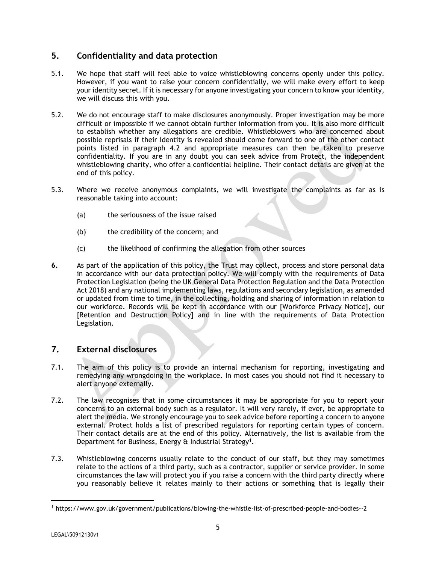## **5. Confidentiality and data protection**

- 5.1. We hope that staff will feel able to voice whistleblowing concerns openly under this policy. However, if you want to raise your concern confidentially, we will make every effort to keep your identity secret. If it is necessary for anyone investigating your concern to know your identity, we will discuss this with you.
- 5.2. We do not encourage staff to make disclosures anonymously. Proper investigation may be more difficult or impossible if we cannot obtain further information from you. It is also more difficult to establish whether any allegations are credible. Whistleblowers who are concerned about possible reprisals if their identity is revealed should come forward to one of the other contact points listed in paragraph 4.2 and appropriate measures can then be taken to preserve confidentiality. If you are in any doubt you can seek advice from Protect, the independent whistleblowing charity, who offer a confidential helpline. Their contact details are given at the end of this policy.
- 5.3. Where we receive anonymous complaints, we will investigate the complaints as far as is reasonable taking into account:
	- (a) the seriousness of the issue raised
	- (b) the credibility of the concern; and
	- (c) the likelihood of confirming the allegation from other sources
- **6.** As part of the application of this policy, the Trust may collect, process and store personal data in accordance with our data protection policy. We will comply with the requirements of Data Protection Legislation (being the UK General Data Protection Regulation and the Data Protection Act 2018) and any national implementing laws, regulations and secondary legislation, as amended or updated from time to time, in the collecting, holding and sharing of information in relation to our workforce. Records will be kept in accordance with our [Workforce Privacy Notice], our [Retention and Destruction Policy] and in line with the requirements of Data Protection Legislation.

## **7. External disclosures**

- 7.1. The aim of this policy is to provide an internal mechanism for reporting, investigating and remedying any wrongdoing in the workplace. In most cases you should not find it necessary to alert anyone externally.
- 7.2. The law recognises that in some circumstances it may be appropriate for you to report your concerns to an external body such as a regulator. It will very rarely, if ever, be appropriate to alert the media. We strongly encourage you to seek advice before reporting a concern to anyone external. Protect holds a list of prescribed regulators for reporting certain types of concern. Their contact details are at the end of this policy. Alternatively, the list is available from the Department for Business, Energy & Industrial Strategy<sup>1</sup>.
- 7.3. Whistleblowing concerns usually relate to the conduct of our staff, but they may sometimes relate to the actions of a third party, such as a contractor, supplier or service provider. In some circumstances the law will protect you if you raise a concern with the third party directly where you reasonably believe it relates mainly to their actions or something that is legally their

 $\overline{a}$ 

<sup>1</sup> https://www.gov.uk/government/publications/blowing-the-whistle-list-of-prescribed-people-and-bodies--2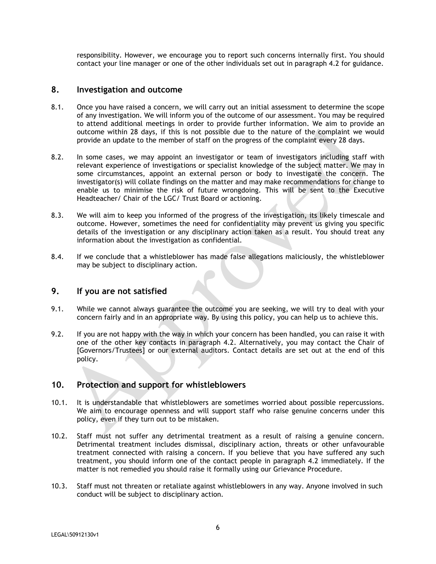responsibility. However, we encourage you to report such concerns internally first. You should contact your line manager or one of the other individuals set out in paragraph 4.2 for guidance.

#### **8. Investigation and outcome**

- 8.1. Once you have raised a concern, we will carry out an initial assessment to determine the scope of any investigation. We will inform you of the outcome of our assessment. You may be required to attend additional meetings in order to provide further information. We aim to provide an outcome within 28 days, if this is not possible due to the nature of the complaint we would provide an update to the member of staff on the progress of the complaint every 28 days.
- 8.2. In some cases, we may appoint an investigator or team of investigators including staff with relevant experience of investigations or specialist knowledge of the subject matter. We may in some circumstances, appoint an external person or body to investigate the concern. The investigator(s) will collate findings on the matter and may make recommendations for change to enable us to minimise the risk of future wrongdoing. This will be sent to the Executive Headteacher/ Chair of the LGC/ Trust Board or actioning.
- 8.3. We will aim to keep you informed of the progress of the investigation, its likely timescale and outcome. However, sometimes the need for confidentiality may prevent us giving you specific details of the investigation or any disciplinary action taken as a result. You should treat any information about the investigation as confidential.
- 8.4. If we conclude that a whistleblower has made false allegations maliciously, the whistleblower may be subject to disciplinary action.

#### **9. If you are not satisfied**

- 9.1. While we cannot always guarantee the outcome you are seeking, we will try to deal with your concern fairly and in an appropriate way. By using this policy, you can help us to achieve this.
- 9.2. If you are not happy with the way in which your concern has been handled, you can raise it with one of the other key contacts in paragraph 4.2. Alternatively, you may contact the Chair of [Governors/Trustees] or our external auditors. Contact details are set out at the end of this policy.

## **10. Protection and support for whistleblowers**

- 10.1. It is understandable that whistleblowers are sometimes worried about possible repercussions. We aim to encourage openness and will support staff who raise genuine concerns under this policy, even if they turn out to be mistaken.
- 10.2. Staff must not suffer any detrimental treatment as a result of raising a genuine concern. Detrimental treatment includes dismissal, disciplinary action, threats or other unfavourable treatment connected with raising a concern. If you believe that you have suffered any such treatment, you should inform one of the contact people in paragraph 4.2 immediately. If the matter is not remedied you should raise it formally using our Grievance Procedure.
- 10.3. Staff must not threaten or retaliate against whistleblowers in any way. Anyone involved in such conduct will be subject to disciplinary action.